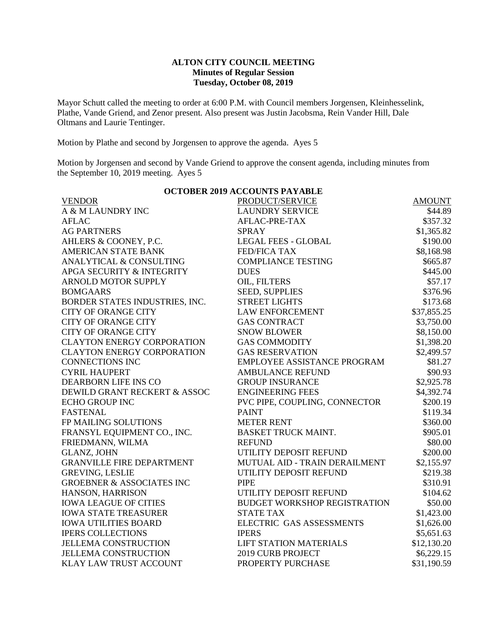## **ALTON CITY COUNCIL MEETING Minutes of Regular Session Tuesday, October 08, 2019**

Mayor Schutt called the meeting to order at 6:00 P.M. with Council members Jorgensen, Kleinhesselink, Plathe, Vande Griend, and Zenor present. Also present was Justin Jacobsma, Rein Vander Hill, Dale Oltmans and Laurie Tentinger.

Motion by Plathe and second by Jorgensen to approve the agenda. Ayes 5

Motion by Jorgensen and second by Vande Griend to approve the consent agenda, including minutes from the September 10, 2019 meeting. Ayes 5

| <b>OCTOBER 2019 ACCOUNTS PAYABLE</b> |                                     |               |  |  |
|--------------------------------------|-------------------------------------|---------------|--|--|
| <b>VENDOR</b>                        | PRODUCT/SERVICE                     | <b>AMOUNT</b> |  |  |
| A & M LAUNDRY INC                    | <b>LAUNDRY SERVICE</b>              | \$44.89       |  |  |
| <b>AFLAC</b>                         | AFLAC-PRE-TAX                       | \$357.32      |  |  |
| <b>AG PARTNERS</b>                   | <b>SPRAY</b>                        | \$1,365.82    |  |  |
| AHLERS & COONEY, P.C.                | <b>LEGAL FEES - GLOBAL</b>          | \$190.00      |  |  |
| <b>AMERICAN STATE BANK</b>           | <b>FED/FICA TAX</b>                 | \$8,168.98    |  |  |
| ANALYTICAL & CONSULTING              | <b>COMPLIANCE TESTING</b>           | \$665.87      |  |  |
| APGA SECURITY & INTEGRITY            | <b>DUES</b>                         | \$445.00      |  |  |
| <b>ARNOLD MOTOR SUPPLY</b>           | OIL, FILTERS                        | \$57.17       |  |  |
| <b>BOMGAARS</b>                      | <b>SEED, SUPPLIES</b>               | \$376.96      |  |  |
| BORDER STATES INDUSTRIES, INC.       | <b>STREET LIGHTS</b>                | \$173.68      |  |  |
| <b>CITY OF ORANGE CITY</b>           | <b>LAW ENFORCEMENT</b>              | \$37,855.25   |  |  |
| <b>CITY OF ORANGE CITY</b>           | <b>GAS CONTRACT</b>                 | \$3,750.00    |  |  |
| <b>CITY OF ORANGE CITY</b>           | <b>SNOW BLOWER</b>                  | \$8,150.00    |  |  |
| <b>CLAYTON ENERGY CORPORATION</b>    | <b>GAS COMMODITY</b>                | \$1,398.20    |  |  |
| <b>CLAYTON ENERGY CORPORATION</b>    | <b>GAS RESERVATION</b>              | \$2,499.57    |  |  |
| <b>CONNECTIONS INC</b>               | EMPLOYEE ASSISTANCE PROGRAM         | \$81.27       |  |  |
| <b>CYRIL HAUPERT</b>                 | <b>AMBULANCE REFUND</b>             | \$90.93       |  |  |
| DEARBORN LIFE INS CO                 | <b>GROUP INSURANCE</b>              | \$2,925.78    |  |  |
| DEWILD GRANT RECKERT & ASSOC         | <b>ENGINEERING FEES</b>             | \$4,392.74    |  |  |
| <b>ECHO GROUP INC</b>                | PVC PIPE, COUPLING, CONNECTOR       | \$200.19      |  |  |
| <b>FASTENAL</b>                      | <b>PAINT</b>                        | \$119.34      |  |  |
| FP MAILING SOLUTIONS                 | <b>METER RENT</b>                   | \$360.00      |  |  |
| FRANSYL EQUIPMENT CO., INC.          | <b>BASKET TRUCK MAINT.</b>          | \$905.01      |  |  |
| FRIEDMANN, WILMA                     | <b>REFUND</b>                       | \$80.00       |  |  |
| <b>GLANZ, JOHN</b>                   | UTILITY DEPOSIT REFUND              | \$200.00      |  |  |
| <b>GRANVILLE FIRE DEPARTMENT</b>     | MUTUAL AID - TRAIN DERAILMENT       | \$2,155.97    |  |  |
| <b>GREVING, LESLIE</b>               | UTILITY DEPOSIT REFUND              | \$219.38      |  |  |
| <b>GROEBNER &amp; ASSOCIATES INC</b> | <b>PIPE</b>                         | \$310.91      |  |  |
| HANSON, HARRISON                     | UTILITY DEPOSIT REFUND              | \$104.62      |  |  |
| <b>IOWA LEAGUE OF CITIES</b>         | <b>BUDGET WORKSHOP REGISTRATION</b> | \$50.00       |  |  |
| <b>IOWA STATE TREASURER</b>          | <b>STATE TAX</b>                    | \$1,423.00    |  |  |
| <b>IOWA UTILITIES BOARD</b>          | ELECTRIC GAS ASSESSMENTS            | \$1,626.00    |  |  |
| <b>IPERS COLLECTIONS</b>             | <b>IPERS</b>                        | \$5,651.63    |  |  |
| <b>JELLEMA CONSTRUCTION</b>          | <b>LIFT STATION MATERIALS</b>       | \$12,130.20   |  |  |
| <b>JELLEMA CONSTRUCTION</b>          | <b>2019 CURB PROJECT</b>            | \$6,229.15    |  |  |
| <b>KLAY LAW TRUST ACCOUNT</b>        | PROPERTY PURCHASE                   | \$31,190.59   |  |  |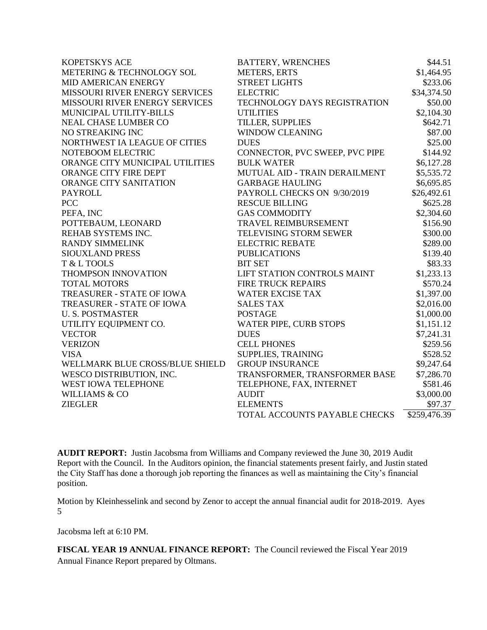| <b>KOPETSKYS ACE</b>            | <b>BATTERY, WRENCHES</b>       | \$44.51      |
|---------------------------------|--------------------------------|--------------|
| METERING & TECHNOLOGY SOL       | <b>METERS, ERTS</b>            | \$1,464.95   |
| MID AMERICAN ENERGY             | <b>STREET LIGHTS</b>           | \$233.06     |
| MISSOURI RIVER ENERGY SERVICES  | <b>ELECTRIC</b>                | \$34,374.50  |
| MISSOURI RIVER ENERGY SERVICES  | TECHNOLOGY DAYS REGISTRATION   | \$50.00      |
| MUNICIPAL UTILITY-BILLS         | <b>UTILITIES</b>               | \$2,104.30   |
| <b>NEAL CHASE LUMBER CO</b>     | TILLER, SUPPLIES               | \$642.71     |
| NO STREAKING INC                | <b>WINDOW CLEANING</b>         | \$87.00      |
| NORTHWEST IA LEAGUE OF CITIES   | <b>DUES</b>                    | \$25.00      |
| NOTEBOOM ELECTRIC               | CONNECTOR, PVC SWEEP, PVC PIPE | \$144.92     |
| ORANGE CITY MUNICIPAL UTILITIES | <b>BULK WATER</b>              | \$6,127.28   |
| ORANGE CITY FIRE DEPT           | MUTUAL AID - TRAIN DERAILMENT  | \$5,535.72   |
| <b>ORANGE CITY SANITATION</b>   | <b>GARBAGE HAULING</b>         | \$6,695.85   |
| <b>PAYROLL</b>                  | PAYROLL CHECKS ON 9/30/2019    | \$26,492.61  |
| <b>PCC</b>                      | <b>RESCUE BILLING</b>          | \$625.28     |
| PEFA, INC                       | <b>GAS COMMODITY</b>           | \$2,304.60   |
| POTTEBAUM, LEONARD              | <b>TRAVEL REIMBURSEMENT</b>    | \$156.90     |
| REHAB SYSTEMS INC.              | TELEVISING STORM SEWER         | \$300.00     |
| <b>RANDY SIMMELINK</b>          | <b>ELECTRIC REBATE</b>         | \$289.00     |
| <b>SIOUXLAND PRESS</b>          | <b>PUBLICATIONS</b>            | \$139.40     |
| T & L TOOLS                     | <b>BIT SET</b>                 | \$83.33      |
| THOMPSON INNOVATION             | LIFT STATION CONTROLS MAINT    | \$1,233.13   |
| <b>TOTAL MOTORS</b>             | <b>FIRE TRUCK REPAIRS</b>      | \$570.24     |
| TREASURER - STATE OF IOWA       | <b>WATER EXCISE TAX</b>        | \$1,397.00   |
| TREASURER - STATE OF IOWA       | <b>SALES TAX</b>               | \$2,016.00   |
| <b>U.S. POSTMASTER</b>          | <b>POSTAGE</b>                 | \$1,000.00   |
| UTILITY EQUIPMENT CO.           | WATER PIPE, CURB STOPS         | \$1,151.12   |
| <b>VECTOR</b>                   | <b>DUES</b>                    | \$7,241.31   |
| <b>VERIZON</b>                  | <b>CELL PHONES</b>             | \$259.56     |
| <b>VISA</b>                     | SUPPLIES, TRAINING             | \$528.52     |
| WELLMARK BLUE CROSS/BLUE SHIELD | <b>GROUP INSURANCE</b>         | \$9,247.64   |
| WESCO DISTRIBUTION, INC.        | TRANSFORMER, TRANSFORMER BASE  | \$7,286.70   |
| WEST IOWA TELEPHONE             | TELEPHONE, FAX, INTERNET       | \$581.46     |
| <b>WILLIAMS &amp; CO</b>        | <b>AUDIT</b>                   | \$3,000.00   |
| <b>ZIEGLER</b>                  | <b>ELEMENTS</b>                | \$97.37      |
|                                 | TOTAL ACCOUNTS PAYABLE CHECKS  | \$259,476.39 |

**AUDIT REPORT:** Justin Jacobsma from Williams and Company reviewed the June 30, 2019 Audit Report with the Council. In the Auditors opinion, the financial statements present fairly, and Justin stated the City Staff has done a thorough job reporting the finances as well as maintaining the City's financial position.

Motion by Kleinhesselink and second by Zenor to accept the annual financial audit for 2018-2019. Ayes 5

Jacobsma left at 6:10 PM.

**FISCAL YEAR 19 ANNUAL FINANCE REPORT:** The Council reviewed the Fiscal Year 2019 Annual Finance Report prepared by Oltmans.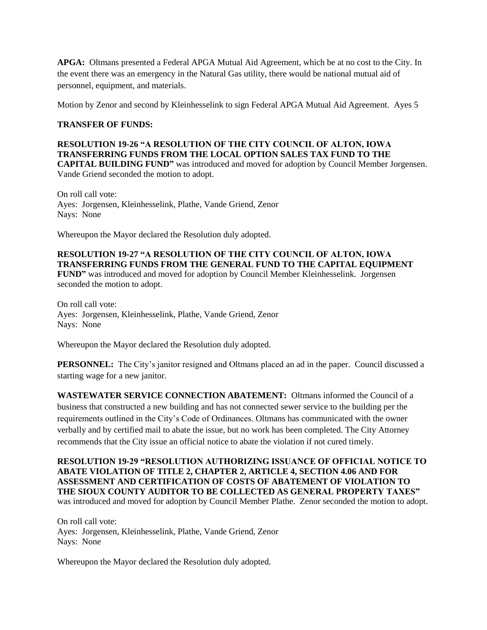**APGA:** Oltmans presented a Federal APGA Mutual Aid Agreement, which be at no cost to the City. In the event there was an emergency in the Natural Gas utility, there would be national mutual aid of personnel, equipment, and materials.

Motion by Zenor and second by Kleinhesselink to sign Federal APGA Mutual Aid Agreement. Ayes 5

## **TRANSFER OF FUNDS:**

**RESOLUTION 19-26 "A RESOLUTION OF THE CITY COUNCIL OF ALTON, IOWA TRANSFERRING FUNDS FROM THE LOCAL OPTION SALES TAX FUND TO THE CAPITAL BUILDING FUND"** was introduced and moved for adoption by Council Member Jorgensen. Vande Griend seconded the motion to adopt.

On roll call vote: Ayes: Jorgensen, Kleinhesselink, Plathe, Vande Griend, Zenor Nays: None

Whereupon the Mayor declared the Resolution duly adopted.

## **RESOLUTION 19-27 "A RESOLUTION OF THE CITY COUNCIL OF ALTON, IOWA TRANSFERRING FUNDS FROM THE GENERAL FUND TO THE CAPITAL EQUIPMENT**

**FUND"** was introduced and moved for adoption by Council Member Kleinhesselink. Jorgensen seconded the motion to adopt.

On roll call vote: Ayes: Jorgensen, Kleinhesselink, Plathe, Vande Griend, Zenor Nays: None

Whereupon the Mayor declared the Resolution duly adopted.

**PERSONNEL:** The City's janitor resigned and Oltmans placed an ad in the paper. Council discussed a starting wage for a new janitor.

**WASTEWATER SERVICE CONNECTION ABATEMENT:** Oltmans informed the Council of a business that constructed a new building and has not connected sewer service to the building per the requirements outlined in the City's Code of Ordinances. Oltmans has communicated with the owner verbally and by certified mail to abate the issue, but no work has been completed. The City Attorney recommends that the City issue an official notice to abate the violation if not cured timely.

**RESOLUTION 19-29 "RESOLUTION AUTHORIZING ISSUANCE OF OFFICIAL NOTICE TO ABATE VIOLATION OF TITLE 2, CHAPTER 2, ARTICLE 4, SECTION 4.06 AND FOR ASSESSMENT AND CERTIFICATION OF COSTS OF ABATEMENT OF VIOLATION TO THE SIOUX COUNTY AUDITOR TO BE COLLECTED AS GENERAL PROPERTY TAXES"**  was introduced and moved for adoption by Council Member Plathe. Zenor seconded the motion to adopt.

On roll call vote: Ayes: Jorgensen, Kleinhesselink, Plathe, Vande Griend, Zenor Nays: None

Whereupon the Mayor declared the Resolution duly adopted.